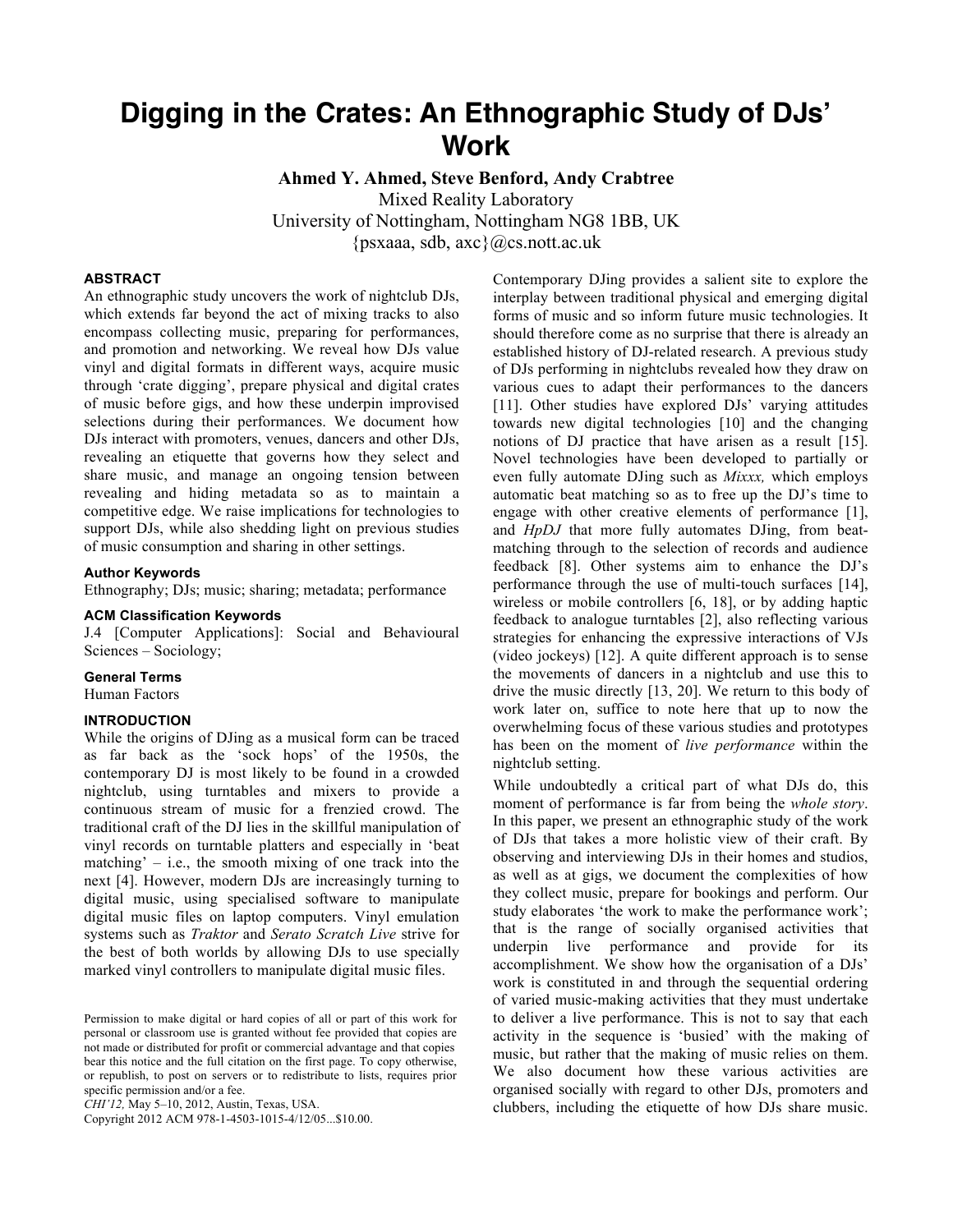# **Digging in the Crates: An Ethnographic Study of DJs' Work**

**Ahmed Y. Ahmed, Steve Benford, Andy Crabtree** Mixed Reality Laboratory University of Nottingham, Nottingham NG8 1BB, UK {psxaaa, sdb, axc}@cs.nott.ac.uk

## **ABSTRACT**

An ethnographic study uncovers the work of nightclub DJs, which extends far beyond the act of mixing tracks to also encompass collecting music, preparing for performances, and promotion and networking. We reveal how DJs value vinyl and digital formats in different ways, acquire music through 'crate digging', prepare physical and digital crates of music before gigs, and how these underpin improvised selections during their performances. We document how DJs interact with promoters, venues, dancers and other DJs, revealing an etiquette that governs how they select and share music, and manage an ongoing tension between revealing and hiding metadata so as to maintain a competitive edge. We raise implications for technologies to support DJs, while also shedding light on previous studies of music consumption and sharing in other settings.

# **Author Keywords**

Ethnography; DJs; music; sharing; metadata; performance

#### **ACM Classification Keywords**

J.4 [Computer Applications]: Social and Behavioural Sciences – Sociology;

## **General Terms**

Human Factors

## **INTRODUCTION**

While the origins of DJing as a musical form can be traced as far back as the 'sock hops' of the 1950s, the contemporary DJ is most likely to be found in a crowded nightclub, using turntables and mixers to provide a continuous stream of music for a frenzied crowd. The traditional craft of the DJ lies in the skillful manipulation of vinyl records on turntable platters and especially in 'beat matching'  $-$  i.e., the smooth mixing of one track into the next [4]. However, modern DJs are increasingly turning to digital music, using specialised software to manipulate digital music files on laptop computers. Vinyl emulation systems such as *Traktor* and *Serato Scratch Live* strive for the best of both worlds by allowing DJs to use specially marked vinyl controllers to manipulate digital music files.

*CHI'12,* May 5–10, 2012, Austin, Texas, USA.

Copyright 2012 ACM 978-1-4503-1015-4/12/05...\$10.00.

Contemporary DJing provides a salient site to explore the interplay between traditional physical and emerging digital forms of music and so inform future music technologies. It should therefore come as no surprise that there is already an established history of DJ-related research. A previous study of DJs performing in nightclubs revealed how they draw on various cues to adapt their performances to the dancers [11]. Other studies have explored DJs' varying attitudes towards new digital technologies [10] and the changing notions of DJ practice that have arisen as a result [15]. Novel technologies have been developed to partially or even fully automate DJing such as *Mixxx,* which employs automatic beat matching so as to free up the DJ's time to engage with other creative elements of performance [1], and *HpDJ* that more fully automates DJing, from beatmatching through to the selection of records and audience feedback [8]. Other systems aim to enhance the DJ's performance through the use of multi-touch surfaces [14], wireless or mobile controllers [6, 18], or by adding haptic feedback to analogue turntables [2], also reflecting various strategies for enhancing the expressive interactions of VJs (video jockeys) [12]. A quite different approach is to sense the movements of dancers in a nightclub and use this to drive the music directly [13, 20]. We return to this body of work later on, suffice to note here that up to now the overwhelming focus of these various studies and prototypes has been on the moment of *live performance* within the nightclub setting.

While undoubtedly a critical part of what DJs do, this moment of performance is far from being the *whole story*. In this paper, we present an ethnographic study of the work of DJs that takes a more holistic view of their craft. By observing and interviewing DJs in their homes and studios, as well as at gigs, we document the complexities of how they collect music, prepare for bookings and perform. Our study elaborates 'the work to make the performance work'; that is the range of socially organised activities that underpin live performance and provide for its accomplishment. We show how the organisation of a DJs' work is constituted in and through the sequential ordering of varied music-making activities that they must undertake to deliver a live performance. This is not to say that each activity in the sequence is 'busied' with the making of music, but rather that the making of music relies on them. We also document how these various activities are organised socially with regard to other DJs, promoters and clubbers, including the etiquette of how DJs share music.

Permission to make digital or hard copies of all or part of this work for personal or classroom use is granted without fee provided that copies are not made or distributed for profit or commercial advantage and that copies bear this notice and the full citation on the first page. To copy otherwise, or republish, to post on servers or to redistribute to lists, requires prior specific permission and/or a fee.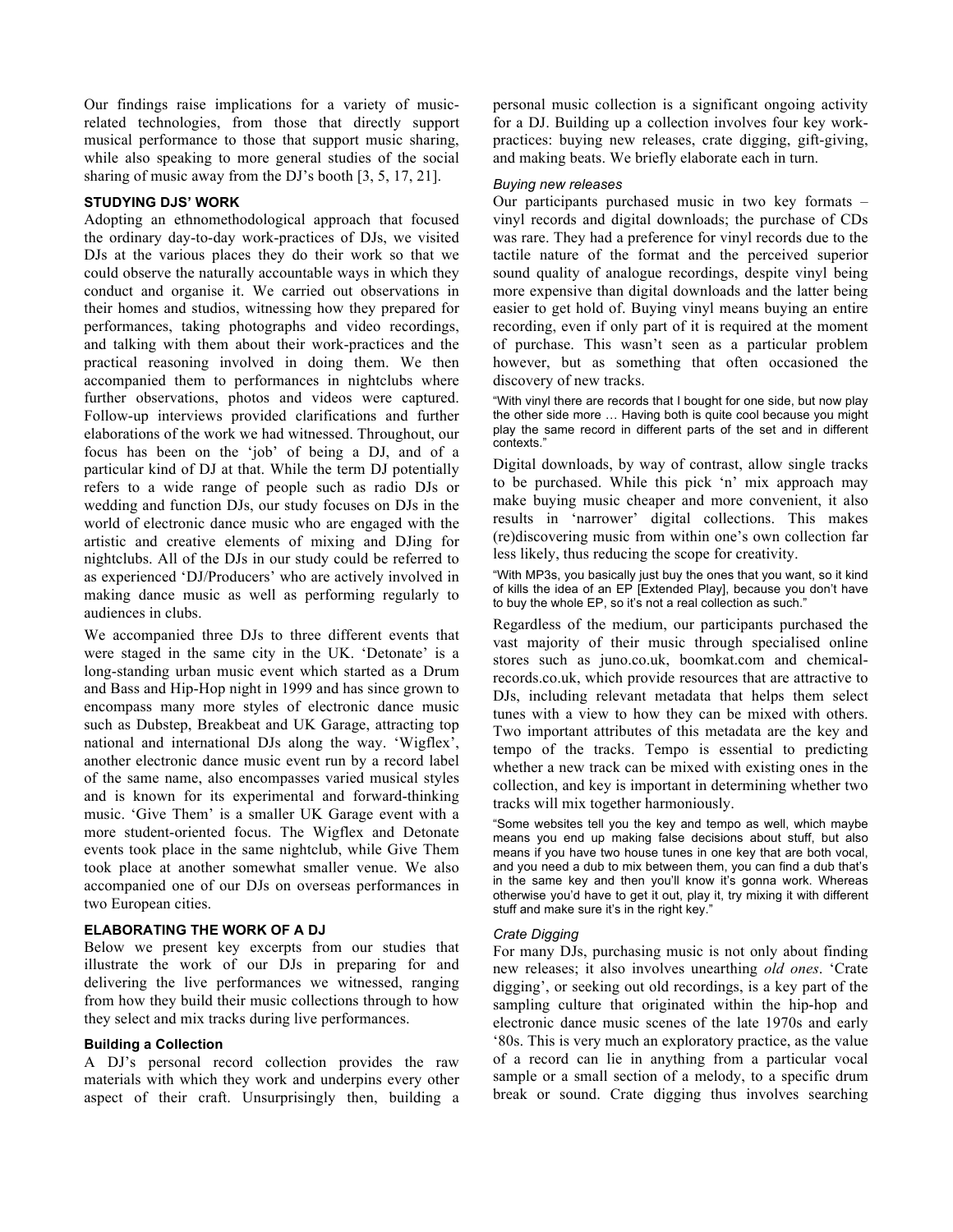Our findings raise implications for a variety of musicrelated technologies, from those that directly support musical performance to those that support music sharing, while also speaking to more general studies of the social sharing of music away from the DJ's booth [3, 5, 17, 21].

## **STUDYING DJS' WORK**

Adopting an ethnomethodological approach that focused the ordinary day-to-day work-practices of DJs, we visited DJs at the various places they do their work so that we could observe the naturally accountable ways in which they conduct and organise it. We carried out observations in their homes and studios, witnessing how they prepared for performances, taking photographs and video recordings, and talking with them about their work-practices and the practical reasoning involved in doing them. We then accompanied them to performances in nightclubs where further observations, photos and videos were captured. Follow-up interviews provided clarifications and further elaborations of the work we had witnessed. Throughout, our focus has been on the 'job' of being a DJ, and of a particular kind of DJ at that. While the term DJ potentially refers to a wide range of people such as radio DJs or wedding and function DJs, our study focuses on DJs in the world of electronic dance music who are engaged with the artistic and creative elements of mixing and DJing for nightclubs. All of the DJs in our study could be referred to as experienced 'DJ/Producers' who are actively involved in making dance music as well as performing regularly to audiences in clubs.

We accompanied three DJs to three different events that were staged in the same city in the UK. 'Detonate' is a long-standing urban music event which started as a Drum and Bass and Hip-Hop night in 1999 and has since grown to encompass many more styles of electronic dance music such as Dubstep, Breakbeat and UK Garage, attracting top national and international DJs along the way. 'Wigflex', another electronic dance music event run by a record label of the same name, also encompasses varied musical styles and is known for its experimental and forward-thinking music. 'Give Them' is a smaller UK Garage event with a more student-oriented focus. The Wigflex and Detonate events took place in the same nightclub, while Give Them took place at another somewhat smaller venue. We also accompanied one of our DJs on overseas performances in two European cities.

## **ELABORATING THE WORK OF A DJ**

Below we present key excerpts from our studies that illustrate the work of our DJs in preparing for and delivering the live performances we witnessed, ranging from how they build their music collections through to how they select and mix tracks during live performances.

## **Building a Collection**

A DJ's personal record collection provides the raw materials with which they work and underpins every other aspect of their craft. Unsurprisingly then, building a personal music collection is a significant ongoing activity for a DJ. Building up a collection involves four key workpractices: buying new releases, crate digging, gift-giving, and making beats. We briefly elaborate each in turn.

## *Buying new releases*

Our participants purchased music in two key formats – vinyl records and digital downloads; the purchase of CDs was rare. They had a preference for vinyl records due to the tactile nature of the format and the perceived superior sound quality of analogue recordings, despite vinyl being more expensive than digital downloads and the latter being easier to get hold of. Buying vinyl means buying an entire recording, even if only part of it is required at the moment of purchase. This wasn't seen as a particular problem however, but as something that often occasioned the discovery of new tracks.

"With vinyl there are records that I bought for one side, but now play the other side more … Having both is quite cool because you might play the same record in different parts of the set and in different contexts."

Digital downloads, by way of contrast, allow single tracks to be purchased. While this pick 'n' mix approach may make buying music cheaper and more convenient, it also results in 'narrower' digital collections. This makes (re)discovering music from within one's own collection far less likely, thus reducing the scope for creativity.

"With MP3s, you basically just buy the ones that you want, so it kind of kills the idea of an EP [Extended Play], because you don't have to buy the whole EP, so it's not a real collection as such."

Regardless of the medium, our participants purchased the vast majority of their music through specialised online stores such as juno.co.uk, boomkat.com and chemicalrecords.co.uk, which provide resources that are attractive to DJs, including relevant metadata that helps them select tunes with a view to how they can be mixed with others. Two important attributes of this metadata are the key and tempo of the tracks. Tempo is essential to predicting whether a new track can be mixed with existing ones in the collection, and key is important in determining whether two tracks will mix together harmoniously.

"Some websites tell you the key and tempo as well, which maybe means you end up making false decisions about stuff, but also means if you have two house tunes in one key that are both vocal, and you need a dub to mix between them, you can find a dub that's in the same key and then you'll know it's gonna work. Whereas otherwise you'd have to get it out, play it, try mixing it with different stuff and make sure it's in the right key."

## *Crate Digging*

For many DJs, purchasing music is not only about finding new releases; it also involves unearthing *old ones*. 'Crate digging', or seeking out old recordings, is a key part of the sampling culture that originated within the hip-hop and electronic dance music scenes of the late 1970s and early '80s. This is very much an exploratory practice, as the value of a record can lie in anything from a particular vocal sample or a small section of a melody, to a specific drum break or sound. Crate digging thus involves searching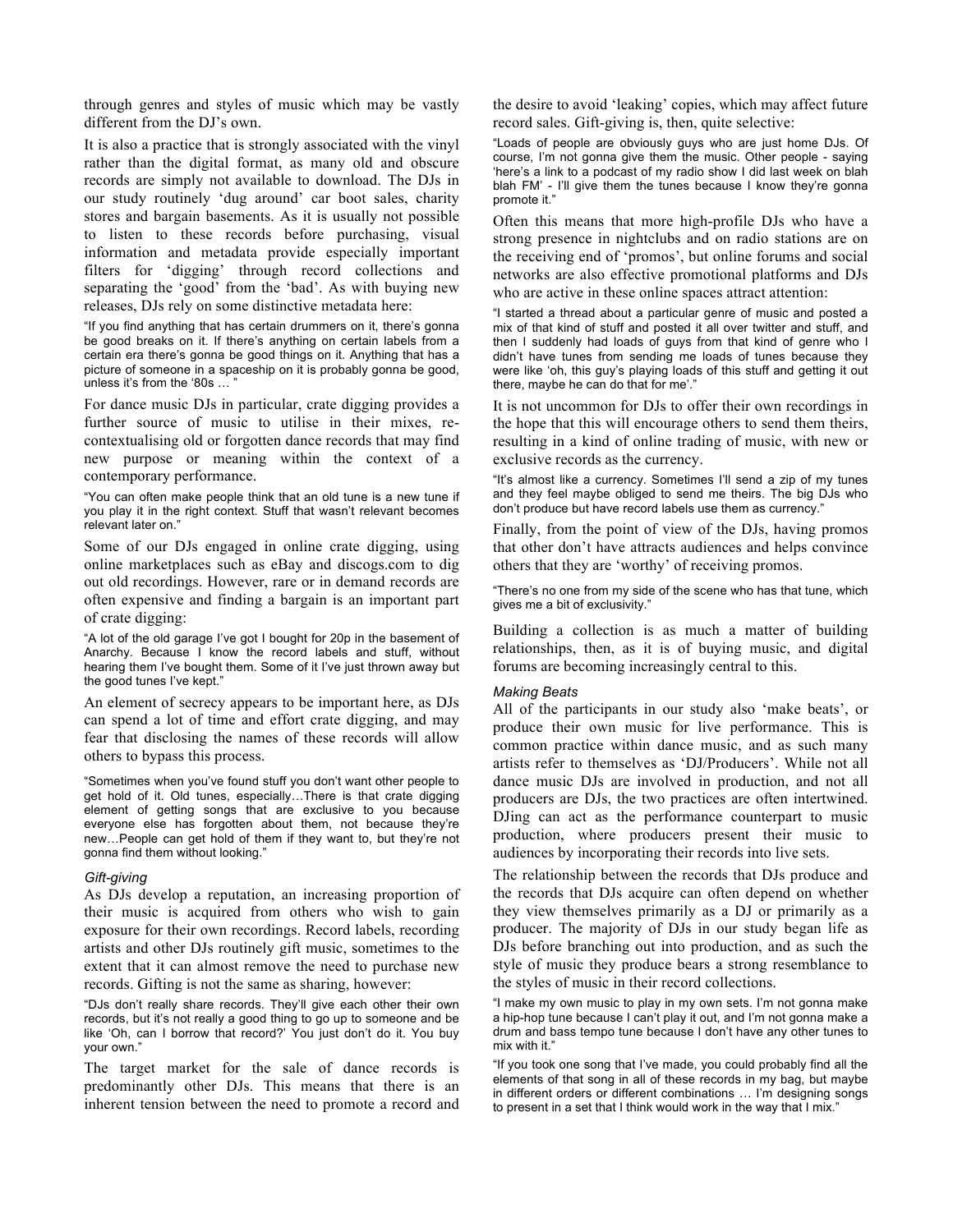through genres and styles of music which may be vastly different from the DJ's own.

It is also a practice that is strongly associated with the vinyl rather than the digital format, as many old and obscure records are simply not available to download. The DJs in our study routinely 'dug around' car boot sales, charity stores and bargain basements. As it is usually not possible to listen to these records before purchasing, visual information and metadata provide especially important filters for 'digging' through record collections and separating the 'good' from the 'bad'. As with buying new releases, DJs rely on some distinctive metadata here:

"If you find anything that has certain drummers on it, there's gonna be good breaks on it. If there's anything on certain labels from a certain era there's gonna be good things on it. Anything that has a picture of someone in a spaceship on it is probably gonna be good, unless it's from the '80s … "

For dance music DJs in particular, crate digging provides a further source of music to utilise in their mixes, recontextualising old or forgotten dance records that may find new purpose or meaning within the context of a contemporary performance.

"You can often make people think that an old tune is a new tune if you play it in the right context. Stuff that wasn't relevant becomes relevant later on."

Some of our DJs engaged in online crate digging, using online marketplaces such as eBay and discogs.com to dig out old recordings. However, rare or in demand records are often expensive and finding a bargain is an important part of crate digging:

"A lot of the old garage I've got I bought for 20p in the basement of Anarchy. Because I know the record labels and stuff, without hearing them I've bought them. Some of it I've just thrown away but the good tunes I've kept."

An element of secrecy appears to be important here, as DJs can spend a lot of time and effort crate digging, and may fear that disclosing the names of these records will allow others to bypass this process.

"Sometimes when you've found stuff you don't want other people to get hold of it. Old tunes, especially…There is that crate digging element of getting songs that are exclusive to you because everyone else has forgotten about them, not because they're new…People can get hold of them if they want to, but they're not gonna find them without looking."

## *Gift-giving*

As DJs develop a reputation, an increasing proportion of their music is acquired from others who wish to gain exposure for their own recordings. Record labels, recording artists and other DJs routinely gift music, sometimes to the extent that it can almost remove the need to purchase new records. Gifting is not the same as sharing, however:

"DJs don't really share records. They'll give each other their own records, but it's not really a good thing to go up to someone and be like 'Oh, can I borrow that record?' You just don't do it. You buy your own."

The target market for the sale of dance records is predominantly other DJs. This means that there is an inherent tension between the need to promote a record and

the desire to avoid 'leaking' copies, which may affect future record sales. Gift-giving is, then, quite selective:

"Loads of people are obviously guys who are just home DJs. Of course, I'm not gonna give them the music. Other people - saying 'here's a link to a podcast of my radio show I did last week on blah blah FM' - I'll give them the tunes because I know they're gonna promote it."

Often this means that more high-profile DJs who have a strong presence in nightclubs and on radio stations are on the receiving end of 'promos', but online forums and social networks are also effective promotional platforms and DJs who are active in these online spaces attract attention:

"I started a thread about a particular genre of music and posted a mix of that kind of stuff and posted it all over twitter and stuff, and then I suddenly had loads of guys from that kind of genre who I didn't have tunes from sending me loads of tunes because they were like 'oh, this guy's playing loads of this stuff and getting it out there, maybe he can do that for me'."

It is not uncommon for DJs to offer their own recordings in the hope that this will encourage others to send them theirs, resulting in a kind of online trading of music, with new or exclusive records as the currency.

"It's almost like a currency. Sometimes I'll send a zip of my tunes and they feel maybe obliged to send me theirs. The big DJs who don't produce but have record labels use them as currency."

Finally, from the point of view of the DJs, having promos that other don't have attracts audiences and helps convince others that they are 'worthy' of receiving promos.

"There's no one from my side of the scene who has that tune, which gives me a bit of exclusivity."

Building a collection is as much a matter of building relationships, then, as it is of buying music, and digital forums are becoming increasingly central to this.

## *Making Beats*

All of the participants in our study also 'make beats', or produce their own music for live performance. This is common practice within dance music, and as such many artists refer to themselves as 'DJ/Producers'. While not all dance music DJs are involved in production, and not all producers are DJs, the two practices are often intertwined. DJing can act as the performance counterpart to music production, where producers present their music to audiences by incorporating their records into live sets.

The relationship between the records that DJs produce and the records that DJs acquire can often depend on whether they view themselves primarily as a DJ or primarily as a producer. The majority of DJs in our study began life as DJs before branching out into production, and as such the style of music they produce bears a strong resemblance to the styles of music in their record collections.

"I make my own music to play in my own sets. I'm not gonna make a hip-hop tune because I can't play it out, and I'm not gonna make a drum and bass tempo tune because I don't have any other tunes to mix with it."

"If you took one song that I've made, you could probably find all the elements of that song in all of these records in my bag, but maybe in different orders or different combinations … I'm designing songs to present in a set that I think would work in the way that I mix."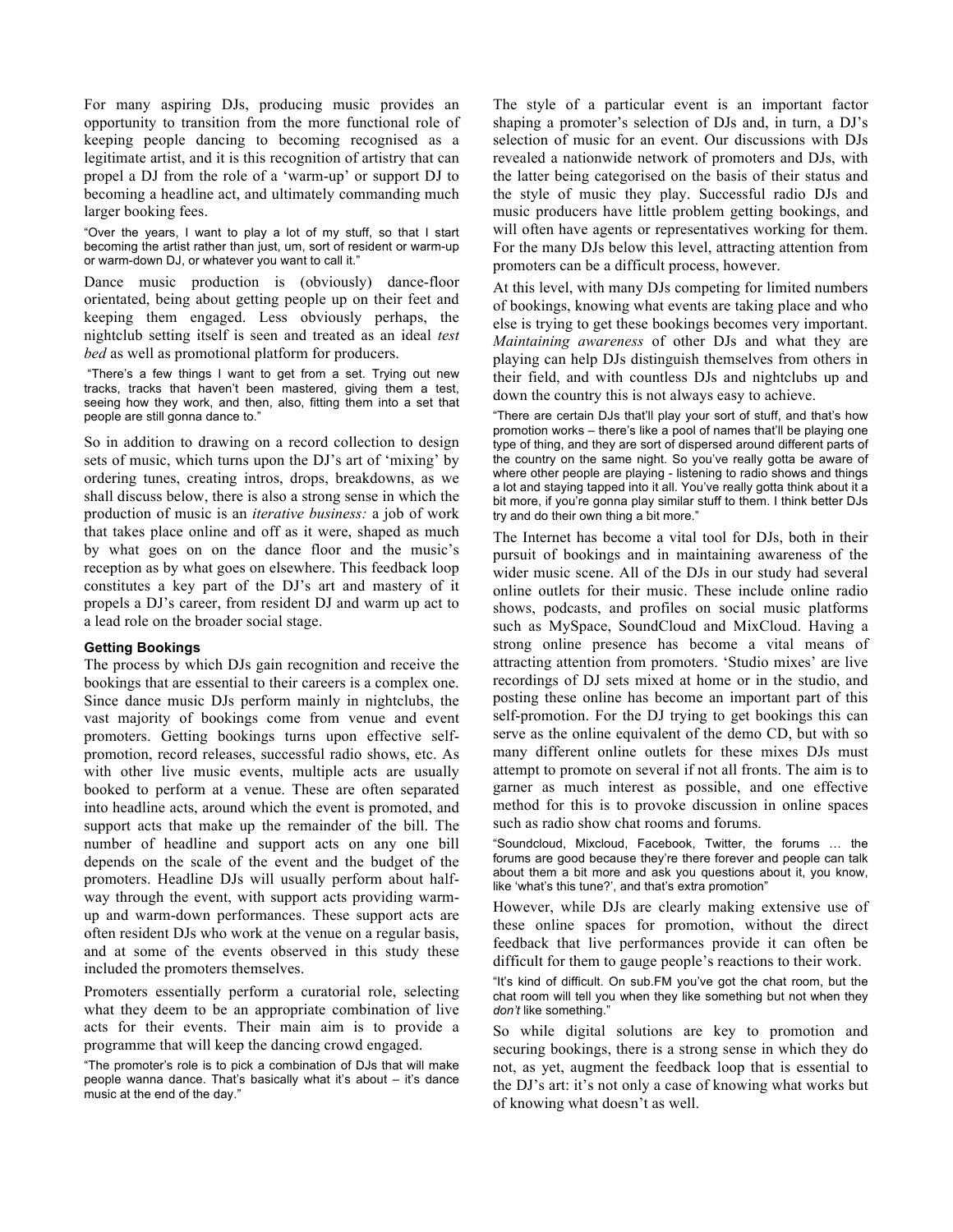For many aspiring DJs, producing music provides an opportunity to transition from the more functional role of keeping people dancing to becoming recognised as a legitimate artist, and it is this recognition of artistry that can propel a DJ from the role of a 'warm-up' or support DJ to becoming a headline act, and ultimately commanding much larger booking fees.

"Over the years, I want to play a lot of my stuff, so that I start becoming the artist rather than just, um, sort of resident or warm-up or warm-down DJ, or whatever you want to call it."

Dance music production is (obviously) dance-floor orientated, being about getting people up on their feet and keeping them engaged. Less obviously perhaps, the nightclub setting itself is seen and treated as an ideal *test bed* as well as promotional platform for producers.

 "There's a few things I want to get from a set. Trying out new tracks, tracks that haven't been mastered, giving them a test, seeing how they work, and then, also, fitting them into a set that people are still gonna dance to."

So in addition to drawing on a record collection to design sets of music, which turns upon the DJ's art of 'mixing' by ordering tunes, creating intros, drops, breakdowns, as we shall discuss below, there is also a strong sense in which the production of music is an *iterative business:* a job of work that takes place online and off as it were, shaped as much by what goes on on the dance floor and the music's reception as by what goes on elsewhere. This feedback loop constitutes a key part of the DJ's art and mastery of it propels a DJ's career, from resident DJ and warm up act to a lead role on the broader social stage.

## **Getting Bookings**

The process by which DJs gain recognition and receive the bookings that are essential to their careers is a complex one. Since dance music DJs perform mainly in nightclubs, the vast majority of bookings come from venue and event promoters. Getting bookings turns upon effective selfpromotion, record releases, successful radio shows, etc. As with other live music events, multiple acts are usually booked to perform at a venue. These are often separated into headline acts, around which the event is promoted, and support acts that make up the remainder of the bill. The number of headline and support acts on any one bill depends on the scale of the event and the budget of the promoters. Headline DJs will usually perform about halfway through the event, with support acts providing warmup and warm-down performances. These support acts are often resident DJs who work at the venue on a regular basis, and at some of the events observed in this study these included the promoters themselves.

Promoters essentially perform a curatorial role, selecting what they deem to be an appropriate combination of live acts for their events. Their main aim is to provide a programme that will keep the dancing crowd engaged.

"The promoter's role is to pick a combination of DJs that will make people wanna dance. That's basically what it's about – it's dance music at the end of the day."

The style of a particular event is an important factor shaping a promoter's selection of DJs and, in turn, a DJ's selection of music for an event. Our discussions with DJs revealed a nationwide network of promoters and DJs, with the latter being categorised on the basis of their status and the style of music they play. Successful radio DJs and music producers have little problem getting bookings, and will often have agents or representatives working for them. For the many DJs below this level, attracting attention from promoters can be a difficult process, however.

At this level, with many DJs competing for limited numbers of bookings, knowing what events are taking place and who else is trying to get these bookings becomes very important. *Maintaining awareness* of other DJs and what they are playing can help DJs distinguish themselves from others in their field, and with countless DJs and nightclubs up and down the country this is not always easy to achieve.

"There are certain DJs that'll play your sort of stuff, and that's how promotion works – there's like a pool of names that'll be playing one type of thing, and they are sort of dispersed around different parts of the country on the same night. So you've really gotta be aware of where other people are playing - listening to radio shows and things a lot and staying tapped into it all. You've really gotta think about it a bit more, if you're gonna play similar stuff to them. I think better DJs try and do their own thing a bit more."

The Internet has become a vital tool for DJs, both in their pursuit of bookings and in maintaining awareness of the wider music scene. All of the DJs in our study had several online outlets for their music. These include online radio shows, podcasts, and profiles on social music platforms such as MySpace, SoundCloud and MixCloud. Having a strong online presence has become a vital means of attracting attention from promoters. 'Studio mixes' are live recordings of DJ sets mixed at home or in the studio, and posting these online has become an important part of this self-promotion. For the DJ trying to get bookings this can serve as the online equivalent of the demo CD, but with so many different online outlets for these mixes DJs must attempt to promote on several if not all fronts. The aim is to garner as much interest as possible, and one effective method for this is to provoke discussion in online spaces such as radio show chat rooms and forums.

"Soundcloud, Mixcloud, Facebook, Twitter, the forums … the forums are good because they're there forever and people can talk about them a bit more and ask you questions about it, you know, like 'what's this tune?', and that's extra promotion"

However, while DJs are clearly making extensive use of these online spaces for promotion, without the direct feedback that live performances provide it can often be difficult for them to gauge people's reactions to their work.

"It's kind of difficult. On sub.FM you've got the chat room, but the chat room will tell you when they like something but not when they *don't* like something."

So while digital solutions are key to promotion and securing bookings, there is a strong sense in which they do not, as yet, augment the feedback loop that is essential to the DJ's art: it's not only a case of knowing what works but of knowing what doesn't as well.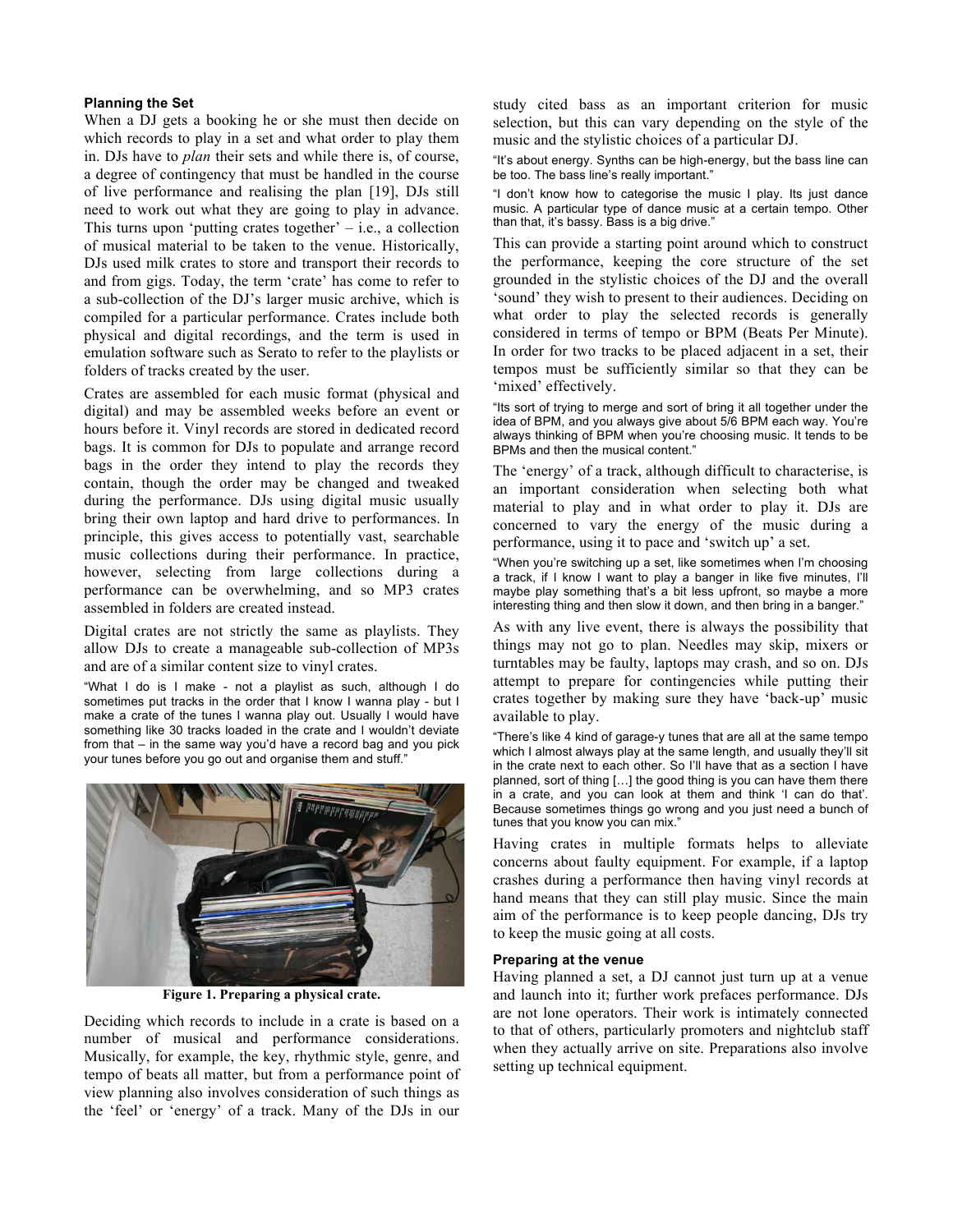## **Planning the Set**

When a DJ gets a booking he or she must then decide on which records to play in a set and what order to play them in. DJs have to *plan* their sets and while there is, of course, a degree of contingency that must be handled in the course of live performance and realising the plan [19], DJs still need to work out what they are going to play in advance. This turns upon 'putting crates together'  $-$  i.e., a collection of musical material to be taken to the venue. Historically, DJs used milk crates to store and transport their records to and from gigs. Today, the term 'crate' has come to refer to a sub-collection of the DJ's larger music archive, which is compiled for a particular performance. Crates include both physical and digital recordings, and the term is used in emulation software such as Serato to refer to the playlists or folders of tracks created by the user.

Crates are assembled for each music format (physical and digital) and may be assembled weeks before an event or hours before it. Vinyl records are stored in dedicated record bags. It is common for DJs to populate and arrange record bags in the order they intend to play the records they contain, though the order may be changed and tweaked during the performance. DJs using digital music usually bring their own laptop and hard drive to performances. In principle, this gives access to potentially vast, searchable music collections during their performance. In practice, however, selecting from large collections during a performance can be overwhelming, and so MP3 crates assembled in folders are created instead.

Digital crates are not strictly the same as playlists. They allow DJs to create a manageable sub-collection of MP3s and are of a similar content size to vinyl crates.

"What I do is I make - not a playlist as such, although I do sometimes put tracks in the order that I know I wanna play - but I make a crate of the tunes I wanna play out. Usually I would have something like 30 tracks loaded in the crate and I wouldn't deviate from that – in the same way you'd have a record bag and you pick your tunes before you go out and organise them and stuff."



**Figure 1. Preparing a physical crate.**

Deciding which records to include in a crate is based on a number of musical and performance considerations. Musically, for example, the key, rhythmic style, genre, and tempo of beats all matter, but from a performance point of view planning also involves consideration of such things as the 'feel' or 'energy' of a track. Many of the DJs in our

study cited bass as an important criterion for music selection, but this can vary depending on the style of the music and the stylistic choices of a particular DJ.

"It's about energy. Synths can be high-energy, but the bass line can be too. The bass line's really important."

"I don't know how to categorise the music I play. Its just dance music. A particular type of dance music at a certain tempo. Other than that, it's bassy. Bass is a big drive."

This can provide a starting point around which to construct the performance, keeping the core structure of the set grounded in the stylistic choices of the DJ and the overall 'sound' they wish to present to their audiences. Deciding on what order to play the selected records is generally considered in terms of tempo or BPM (Beats Per Minute). In order for two tracks to be placed adjacent in a set, their tempos must be sufficiently similar so that they can be 'mixed' effectively.

"Its sort of trying to merge and sort of bring it all together under the idea of BPM, and you always give about 5/6 BPM each way. You're always thinking of BPM when you're choosing music. It tends to be BPMs and then the musical content."

The 'energy' of a track, although difficult to characterise, is an important consideration when selecting both what material to play and in what order to play it. DJs are concerned to vary the energy of the music during a performance, using it to pace and 'switch up' a set.

"When you're switching up a set, like sometimes when I'm choosing a track, if I know I want to play a banger in like five minutes, I'll maybe play something that's a bit less upfront, so maybe a more interesting thing and then slow it down, and then bring in a banger."

As with any live event, there is always the possibility that things may not go to plan. Needles may skip, mixers or turntables may be faulty, laptops may crash, and so on. DJs attempt to prepare for contingencies while putting their crates together by making sure they have 'back-up' music available to play.

"There's like 4 kind of garage-y tunes that are all at the same tempo which I almost always play at the same length, and usually they'll sit in the crate next to each other. So I'll have that as a section I have planned, sort of thing […] the good thing is you can have them there in a crate, and you can look at them and think 'I can do that'. Because sometimes things go wrong and you just need a bunch of tunes that you know you can mix."

Having crates in multiple formats helps to alleviate concerns about faulty equipment. For example, if a laptop crashes during a performance then having vinyl records at hand means that they can still play music. Since the main aim of the performance is to keep people dancing, DJs try to keep the music going at all costs.

## **Preparing at the venue**

Having planned a set, a DJ cannot just turn up at a venue and launch into it; further work prefaces performance. DJs are not lone operators. Their work is intimately connected to that of others, particularly promoters and nightclub staff when they actually arrive on site. Preparations also involve setting up technical equipment.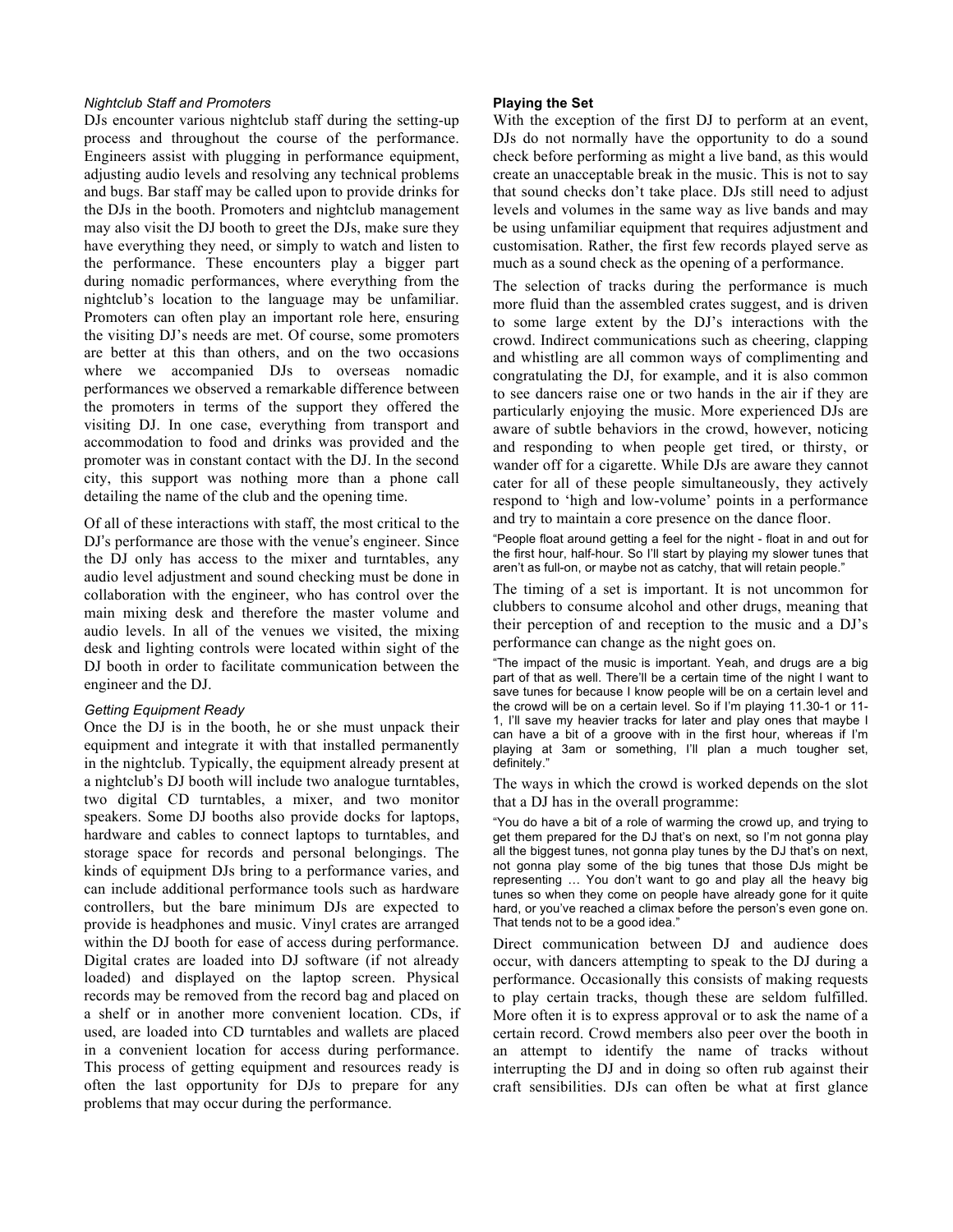## *Nightclub Staff and Promoters*

DJs encounter various nightclub staff during the setting-up process and throughout the course of the performance. Engineers assist with plugging in performance equipment, adjusting audio levels and resolving any technical problems and bugs. Bar staff may be called upon to provide drinks for the DJs in the booth. Promoters and nightclub management may also visit the DJ booth to greet the DJs, make sure they have everything they need, or simply to watch and listen to the performance. These encounters play a bigger part during nomadic performances, where everything from the nightclub's location to the language may be unfamiliar. Promoters can often play an important role here, ensuring the visiting DJ's needs are met. Of course, some promoters are better at this than others, and on the two occasions where we accompanied DJs to overseas nomadic performances we observed a remarkable difference between the promoters in terms of the support they offered the visiting DJ. In one case, everything from transport and accommodation to food and drinks was provided and the promoter was in constant contact with the DJ. In the second city, this support was nothing more than a phone call detailing the name of the club and the opening time.

Of all of these interactions with staff, the most critical to the DJ's performance are those with the venue's engineer. Since the DJ only has access to the mixer and turntables, any audio level adjustment and sound checking must be done in collaboration with the engineer, who has control over the main mixing desk and therefore the master volume and audio levels. In all of the venues we visited, the mixing desk and lighting controls were located within sight of the DJ booth in order to facilitate communication between the engineer and the DJ.

## *Getting Equipment Ready*

Once the DJ is in the booth, he or she must unpack their equipment and integrate it with that installed permanently in the nightclub. Typically, the equipment already present at a nightclub's DJ booth will include two analogue turntables, two digital CD turntables, a mixer, and two monitor speakers. Some DJ booths also provide docks for laptops, hardware and cables to connect laptops to turntables, and storage space for records and personal belongings. The kinds of equipment DJs bring to a performance varies, and can include additional performance tools such as hardware controllers, but the bare minimum DJs are expected to provide is headphones and music. Vinyl crates are arranged within the DJ booth for ease of access during performance. Digital crates are loaded into DJ software (if not already loaded) and displayed on the laptop screen. Physical records may be removed from the record bag and placed on a shelf or in another more convenient location. CDs, if used, are loaded into CD turntables and wallets are placed in a convenient location for access during performance. This process of getting equipment and resources ready is often the last opportunity for DJs to prepare for any problems that may occur during the performance.

## **Playing the Set**

With the exception of the first DJ to perform at an event, DJs do not normally have the opportunity to do a sound check before performing as might a live band, as this would create an unacceptable break in the music. This is not to say that sound checks don't take place. DJs still need to adjust levels and volumes in the same way as live bands and may be using unfamiliar equipment that requires adjustment and customisation. Rather, the first few records played serve as much as a sound check as the opening of a performance.

The selection of tracks during the performance is much more fluid than the assembled crates suggest, and is driven to some large extent by the DJ's interactions with the crowd. Indirect communications such as cheering, clapping and whistling are all common ways of complimenting and congratulating the DJ, for example, and it is also common to see dancers raise one or two hands in the air if they are particularly enjoying the music. More experienced DJs are aware of subtle behaviors in the crowd, however, noticing and responding to when people get tired, or thirsty, or wander off for a cigarette. While DJs are aware they cannot cater for all of these people simultaneously, they actively respond to 'high and low-volume' points in a performance and try to maintain a core presence on the dance floor.

"People float around getting a feel for the night - float in and out for the first hour, half-hour. So I'll start by playing my slower tunes that aren't as full-on, or maybe not as catchy, that will retain people."

The timing of a set is important. It is not uncommon for clubbers to consume alcohol and other drugs, meaning that their perception of and reception to the music and a DJ's performance can change as the night goes on.

"The impact of the music is important. Yeah, and drugs are a big part of that as well. There'll be a certain time of the night I want to save tunes for because I know people will be on a certain level and the crowd will be on a certain level. So if I'm playing 11.30-1 or 11- 1, I'll save my heavier tracks for later and play ones that maybe I can have a bit of a groove with in the first hour, whereas if I'm playing at 3am or something, I'll plan a much tougher set, definitely."

The ways in which the crowd is worked depends on the slot that a DJ has in the overall programme:

"You do have a bit of a role of warming the crowd up, and trying to get them prepared for the DJ that's on next, so I'm not gonna play all the biggest tunes, not gonna play tunes by the DJ that's on next, not gonna play some of the big tunes that those DJs might be representing … You don't want to go and play all the heavy big tunes so when they come on people have already gone for it quite hard, or you've reached a climax before the person's even gone on. That tends not to be a good idea."

Direct communication between DJ and audience does occur, with dancers attempting to speak to the DJ during a performance. Occasionally this consists of making requests to play certain tracks, though these are seldom fulfilled. More often it is to express approval or to ask the name of a certain record. Crowd members also peer over the booth in an attempt to identify the name of tracks without interrupting the DJ and in doing so often rub against their craft sensibilities. DJs can often be what at first glance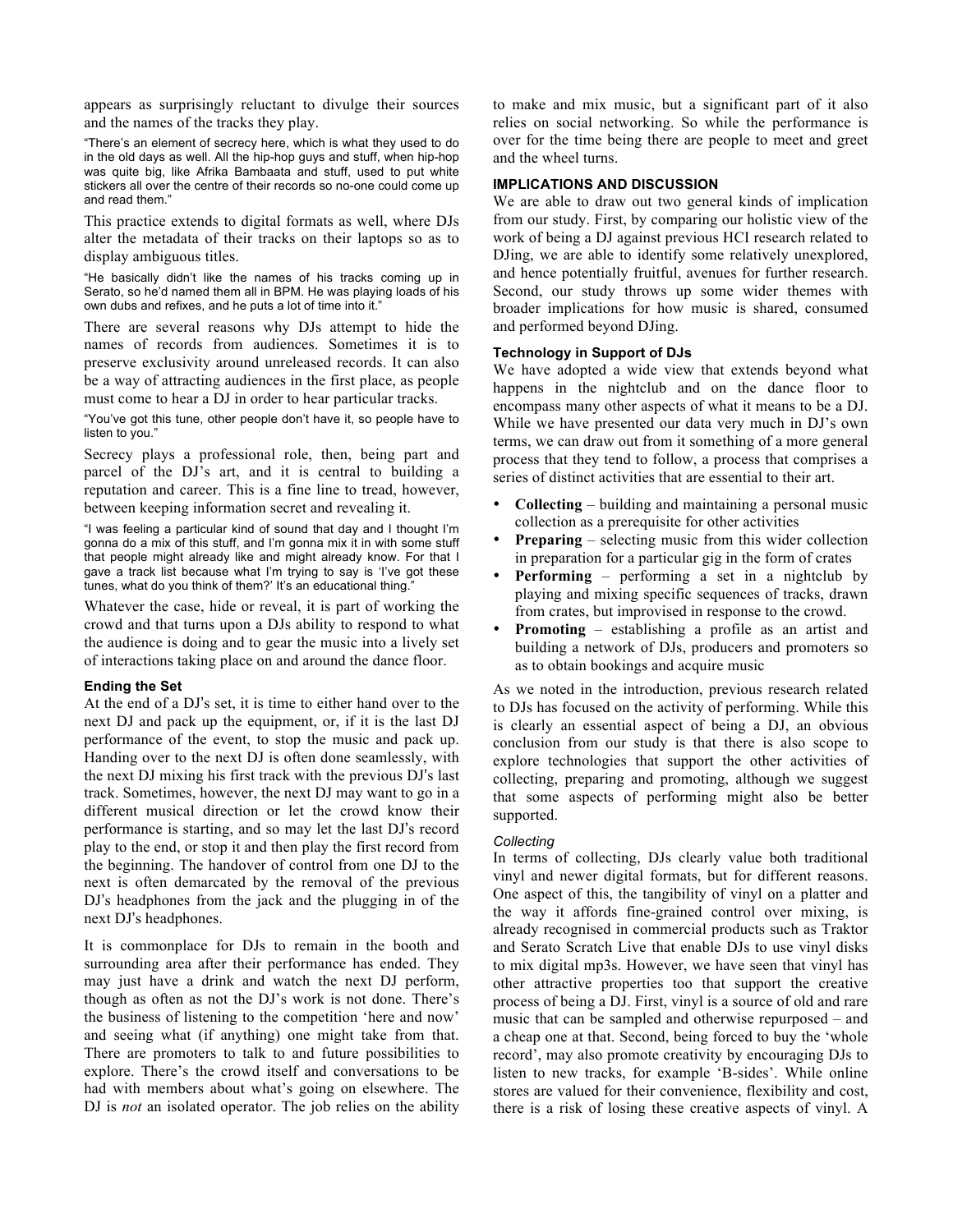appears as surprisingly reluctant to divulge their sources and the names of the tracks they play.

"There's an element of secrecy here, which is what they used to do in the old days as well. All the hip-hop guys and stuff, when hip-hop was quite big, like Afrika Bambaata and stuff, used to put white stickers all over the centre of their records so no-one could come up and read them."

This practice extends to digital formats as well, where DJs alter the metadata of their tracks on their laptops so as to display ambiguous titles.

"He basically didn't like the names of his tracks coming up in Serato, so he'd named them all in BPM. He was playing loads of his own dubs and refixes, and he puts a lot of time into it."

There are several reasons why DJs attempt to hide the names of records from audiences. Sometimes it is to preserve exclusivity around unreleased records. It can also be a way of attracting audiences in the first place, as people must come to hear a DJ in order to hear particular tracks.

"You've got this tune, other people don't have it, so people have to listen to you."

Secrecy plays a professional role, then, being part and parcel of the DJ's art, and it is central to building a reputation and career. This is a fine line to tread, however, between keeping information secret and revealing it.

"I was feeling a particular kind of sound that day and I thought I'm gonna do a mix of this stuff, and I'm gonna mix it in with some stuff that people might already like and might already know. For that I gave a track list because what I'm trying to say is 'I've got these tunes, what do you think of them?' It's an educational thing.

Whatever the case, hide or reveal, it is part of working the crowd and that turns upon a DJs ability to respond to what the audience is doing and to gear the music into a lively set of interactions taking place on and around the dance floor.

## **Ending the Set**

At the end of a DJ's set, it is time to either hand over to the next DJ and pack up the equipment, or, if it is the last DJ performance of the event, to stop the music and pack up. Handing over to the next DJ is often done seamlessly, with the next DJ mixing his first track with the previous DJ's last track. Sometimes, however, the next DJ may want to go in a different musical direction or let the crowd know their performance is starting, and so may let the last DJ's record play to the end, or stop it and then play the first record from the beginning. The handover of control from one DJ to the next is often demarcated by the removal of the previous DJ's headphones from the jack and the plugging in of the next DJ's headphones.

It is commonplace for DJs to remain in the booth and surrounding area after their performance has ended. They may just have a drink and watch the next DJ perform, though as often as not the DJ's work is not done. There's the business of listening to the competition 'here and now' and seeing what (if anything) one might take from that. There are promoters to talk to and future possibilities to explore. There's the crowd itself and conversations to be had with members about what's going on elsewhere. The DJ is *not* an isolated operator. The job relies on the ability to make and mix music, but a significant part of it also relies on social networking. So while the performance is over for the time being there are people to meet and greet and the wheel turns.

## **IMPLICATIONS AND DISCUSSION**

We are able to draw out two general kinds of implication from our study. First, by comparing our holistic view of the work of being a DJ against previous HCI research related to DJing, we are able to identify some relatively unexplored, and hence potentially fruitful, avenues for further research. Second, our study throws up some wider themes with broader implications for how music is shared, consumed and performed beyond DJing.

## **Technology in Support of DJs**

We have adopted a wide view that extends beyond what happens in the nightclub and on the dance floor to encompass many other aspects of what it means to be a DJ. While we have presented our data very much in DJ's own terms, we can draw out from it something of a more general process that they tend to follow, a process that comprises a series of distinct activities that are essential to their art.

- **Collecting** building and maintaining a personal music collection as a prerequisite for other activities
- **Preparing** selecting music from this wider collection in preparation for a particular gig in the form of crates
- **Performing** performing a set in a nightclub by playing and mixing specific sequences of tracks, drawn from crates, but improvised in response to the crowd.
- **Promoting** establishing a profile as an artist and building a network of DJs, producers and promoters so as to obtain bookings and acquire music

As we noted in the introduction, previous research related to DJs has focused on the activity of performing. While this is clearly an essential aspect of being a DJ, an obvious conclusion from our study is that there is also scope to explore technologies that support the other activities of collecting, preparing and promoting, although we suggest that some aspects of performing might also be better supported.

## *Collecting*

In terms of collecting, DJs clearly value both traditional vinyl and newer digital formats, but for different reasons. One aspect of this, the tangibility of vinyl on a platter and the way it affords fine-grained control over mixing, is already recognised in commercial products such as Traktor and Serato Scratch Live that enable DJs to use vinyl disks to mix digital mp3s. However, we have seen that vinyl has other attractive properties too that support the creative process of being a DJ. First, vinyl is a source of old and rare music that can be sampled and otherwise repurposed – and a cheap one at that. Second, being forced to buy the 'whole record', may also promote creativity by encouraging DJs to listen to new tracks, for example 'B-sides'. While online stores are valued for their convenience, flexibility and cost, there is a risk of losing these creative aspects of vinyl. A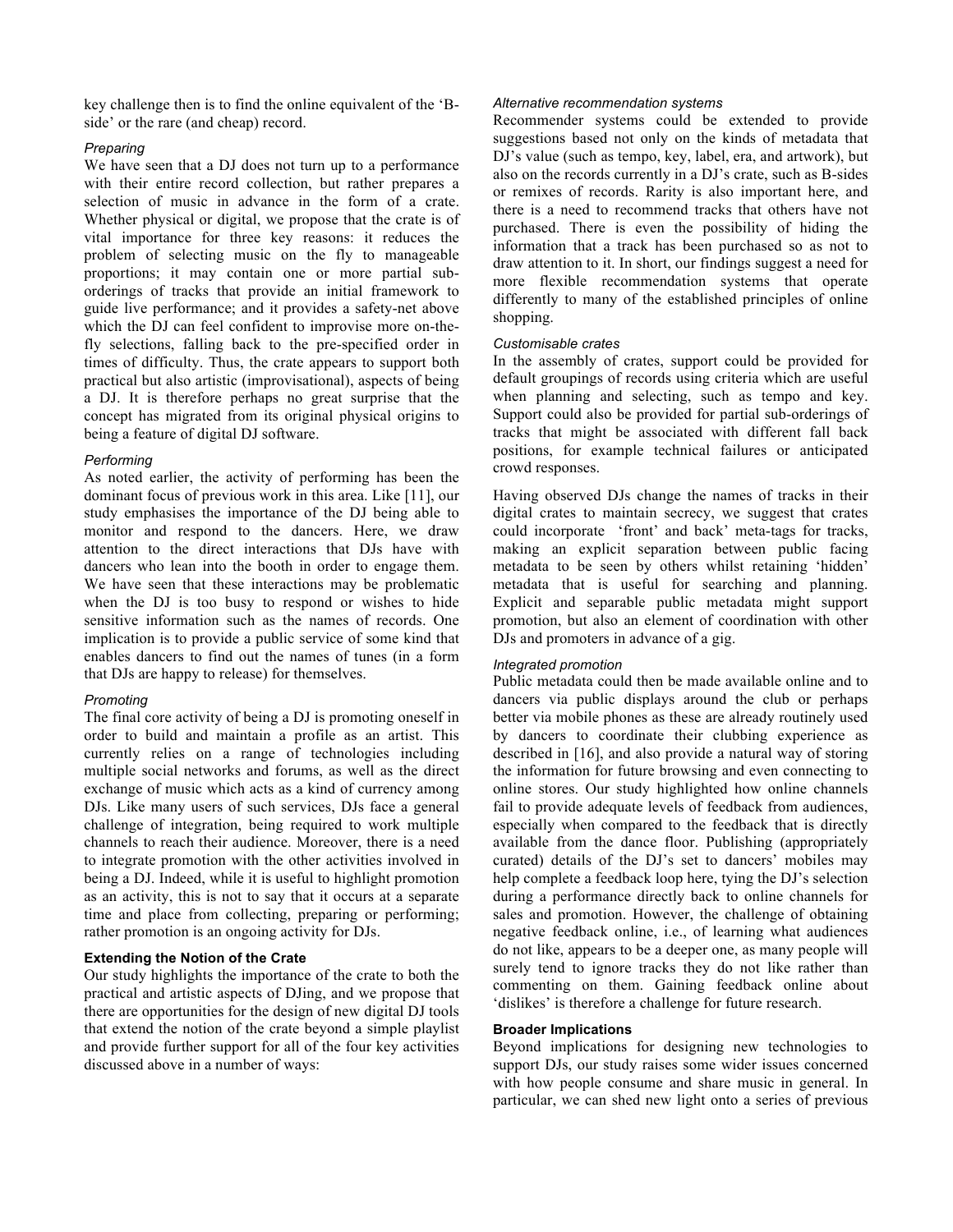key challenge then is to find the online equivalent of the 'Bside' or the rare (and cheap) record.

## *Preparing*

We have seen that a DJ does not turn up to a performance with their entire record collection, but rather prepares a selection of music in advance in the form of a crate. Whether physical or digital, we propose that the crate is of vital importance for three key reasons: it reduces the problem of selecting music on the fly to manageable proportions; it may contain one or more partial suborderings of tracks that provide an initial framework to guide live performance; and it provides a safety-net above which the DJ can feel confident to improvise more on-thefly selections, falling back to the pre-specified order in times of difficulty. Thus, the crate appears to support both practical but also artistic (improvisational), aspects of being a DJ. It is therefore perhaps no great surprise that the concept has migrated from its original physical origins to being a feature of digital DJ software.

## *Performing*

As noted earlier, the activity of performing has been the dominant focus of previous work in this area. Like [11], our study emphasises the importance of the DJ being able to monitor and respond to the dancers. Here, we draw attention to the direct interactions that DJs have with dancers who lean into the booth in order to engage them. We have seen that these interactions may be problematic when the DJ is too busy to respond or wishes to hide sensitive information such as the names of records. One implication is to provide a public service of some kind that enables dancers to find out the names of tunes (in a form that DJs are happy to release) for themselves.

## *Promoting*

The final core activity of being a DJ is promoting oneself in order to build and maintain a profile as an artist. This currently relies on a range of technologies including multiple social networks and forums, as well as the direct exchange of music which acts as a kind of currency among DJs. Like many users of such services, DJs face a general challenge of integration, being required to work multiple channels to reach their audience. Moreover, there is a need to integrate promotion with the other activities involved in being a DJ. Indeed, while it is useful to highlight promotion as an activity, this is not to say that it occurs at a separate time and place from collecting, preparing or performing; rather promotion is an ongoing activity for DJs.

# **Extending the Notion of the Crate**

Our study highlights the importance of the crate to both the practical and artistic aspects of DJing, and we propose that there are opportunities for the design of new digital DJ tools that extend the notion of the crate beyond a simple playlist and provide further support for all of the four key activities discussed above in a number of ways:

## *Alternative recommendation systems*

Recommender systems could be extended to provide suggestions based not only on the kinds of metadata that DJ's value (such as tempo, key, label, era, and artwork), but also on the records currently in a DJ's crate, such as B-sides or remixes of records. Rarity is also important here, and there is a need to recommend tracks that others have not purchased. There is even the possibility of hiding the information that a track has been purchased so as not to draw attention to it. In short, our findings suggest a need for more flexible recommendation systems that operate differently to many of the established principles of online shopping.

## *Customisable crates*

In the assembly of crates, support could be provided for default groupings of records using criteria which are useful when planning and selecting, such as tempo and key. Support could also be provided for partial sub-orderings of tracks that might be associated with different fall back positions, for example technical failures or anticipated crowd responses.

Having observed DJs change the names of tracks in their digital crates to maintain secrecy, we suggest that crates could incorporate 'front' and back' meta-tags for tracks, making an explicit separation between public facing metadata to be seen by others whilst retaining 'hidden' metadata that is useful for searching and planning. Explicit and separable public metadata might support promotion, but also an element of coordination with other DJs and promoters in advance of a gig.

## *Integrated promotion*

Public metadata could then be made available online and to dancers via public displays around the club or perhaps better via mobile phones as these are already routinely used by dancers to coordinate their clubbing experience as described in [16], and also provide a natural way of storing the information for future browsing and even connecting to online stores. Our study highlighted how online channels fail to provide adequate levels of feedback from audiences, especially when compared to the feedback that is directly available from the dance floor. Publishing (appropriately curated) details of the DJ's set to dancers' mobiles may help complete a feedback loop here, tying the DJ's selection during a performance directly back to online channels for sales and promotion. However, the challenge of obtaining negative feedback online, i.e., of learning what audiences do not like, appears to be a deeper one, as many people will surely tend to ignore tracks they do not like rather than commenting on them. Gaining feedback online about 'dislikes' is therefore a challenge for future research.

## **Broader Implications**

Beyond implications for designing new technologies to support DJs, our study raises some wider issues concerned with how people consume and share music in general. In particular, we can shed new light onto a series of previous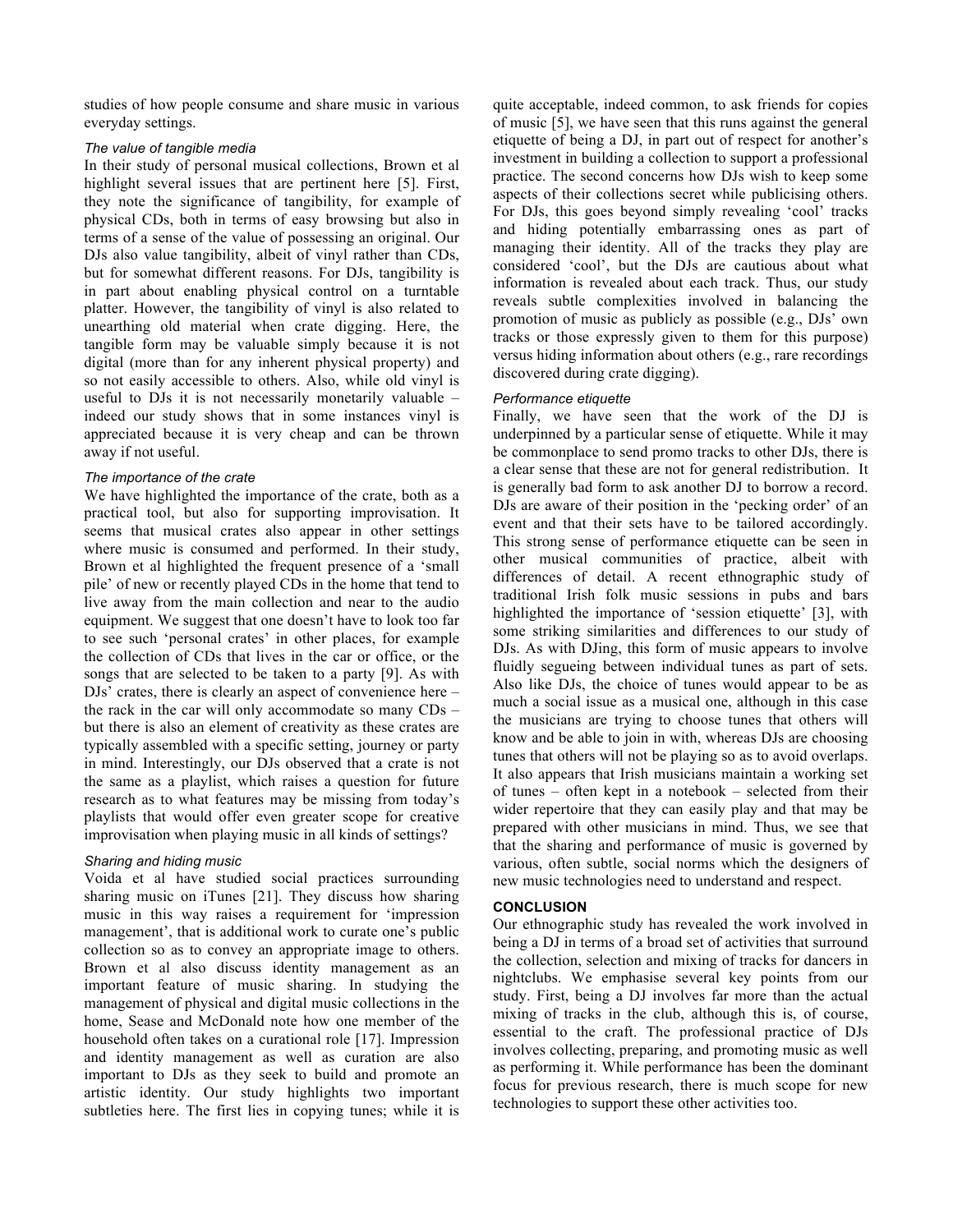studies of how people consume and share music in various everyday settings.

## *The value of tangible media*

In their study of personal musical collections, Brown et al highlight several issues that are pertinent here [5]. First, they note the significance of tangibility, for example of physical CDs, both in terms of easy browsing but also in terms of a sense of the value of possessing an original. Our DJs also value tangibility, albeit of vinyl rather than CDs, but for somewhat different reasons. For DJs, tangibility is in part about enabling physical control on a turntable platter. However, the tangibility of vinyl is also related to unearthing old material when crate digging. Here, the tangible form may be valuable simply because it is not digital (more than for any inherent physical property) and so not easily accessible to others. Also, while old vinyl is useful to DJs it is not necessarily monetarily valuable – indeed our study shows that in some instances vinyl is appreciated because it is very cheap and can be thrown away if not useful.

# *The importance of the crate*

We have highlighted the importance of the crate, both as a practical tool, but also for supporting improvisation. It seems that musical crates also appear in other settings where music is consumed and performed. In their study, Brown et al highlighted the frequent presence of a 'small pile' of new or recently played CDs in the home that tend to live away from the main collection and near to the audio equipment. We suggest that one doesn't have to look too far to see such 'personal crates' in other places, for example the collection of CDs that lives in the car or office, or the songs that are selected to be taken to a party [9]. As with DJs' crates, there is clearly an aspect of convenience here – the rack in the car will only accommodate so many CDs – but there is also an element of creativity as these crates are typically assembled with a specific setting, journey or party in mind. Interestingly, our DJs observed that a crate is not the same as a playlist, which raises a question for future research as to what features may be missing from today's playlists that would offer even greater scope for creative improvisation when playing music in all kinds of settings?

# *Sharing and hiding music*

Voida et al have studied social practices surrounding sharing music on iTunes [21]. They discuss how sharing music in this way raises a requirement for 'impression management', that is additional work to curate one's public collection so as to convey an appropriate image to others. Brown et al also discuss identity management as an important feature of music sharing. In studying the management of physical and digital music collections in the home, Sease and McDonald note how one member of the household often takes on a curational role [17]. Impression and identity management as well as curation are also important to DJs as they seek to build and promote an artistic identity. Our study highlights two important subtleties here. The first lies in copying tunes; while it is

quite acceptable, indeed common, to ask friends for copies of music [5], we have seen that this runs against the general etiquette of being a DJ, in part out of respect for another's investment in building a collection to support a professional practice. The second concerns how DJs wish to keep some aspects of their collections secret while publicising others. For DJs, this goes beyond simply revealing 'cool' tracks and hiding potentially embarrassing ones as part of managing their identity. All of the tracks they play are considered 'cool', but the DJs are cautious about what information is revealed about each track. Thus, our study reveals subtle complexities involved in balancing the promotion of music as publicly as possible (e.g., DJs' own tracks or those expressly given to them for this purpose) versus hiding information about others (e.g., rare recordings discovered during crate digging).

# *Performance etiquette*

Finally, we have seen that the work of the DJ is underpinned by a particular sense of etiquette. While it may be commonplace to send promo tracks to other DJs, there is a clear sense that these are not for general redistribution. It is generally bad form to ask another DJ to borrow a record. DJs are aware of their position in the 'pecking order' of an event and that their sets have to be tailored accordingly. This strong sense of performance etiquette can be seen in other musical communities of practice, albeit with differences of detail. A recent ethnographic study of traditional Irish folk music sessions in pubs and bars highlighted the importance of 'session etiquette' [3], with some striking similarities and differences to our study of DJs. As with DJing, this form of music appears to involve fluidly segueing between individual tunes as part of sets. Also like DJs, the choice of tunes would appear to be as much a social issue as a musical one, although in this case the musicians are trying to choose tunes that others will know and be able to join in with, whereas DJs are choosing tunes that others will not be playing so as to avoid overlaps. It also appears that Irish musicians maintain a working set of tunes – often kept in a notebook – selected from their wider repertoire that they can easily play and that may be prepared with other musicians in mind. Thus, we see that that the sharing and performance of music is governed by various, often subtle, social norms which the designers of new music technologies need to understand and respect.

# **CONCLUSION**

Our ethnographic study has revealed the work involved in being a DJ in terms of a broad set of activities that surround the collection, selection and mixing of tracks for dancers in nightclubs. We emphasise several key points from our study. First, being a DJ involves far more than the actual mixing of tracks in the club, although this is, of course, essential to the craft. The professional practice of DJs involves collecting, preparing, and promoting music as well as performing it. While performance has been the dominant focus for previous research, there is much scope for new technologies to support these other activities too.